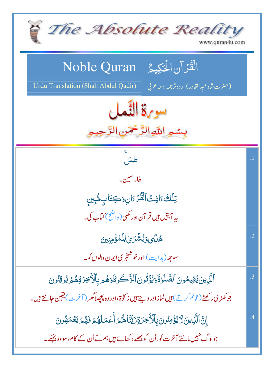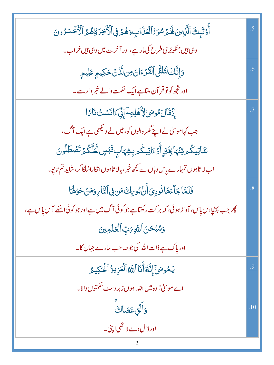| أُوْلَيْكَ ٱلَّذِينَ لَهُمْ سُوَءُ ٱلْعَذَابِ وَهُمْ فِى ٱلْأَخِرَةِهُمُ ٱلْأَخْسَرُونَ       | $\overline{.5}$ |
|-----------------------------------------------------------------------------------------------|-----------------|
| وہی ہیں جنکو بُری طرح کی مارہے،اور آخرت میں وہی ہیں خراب۔                                     |                 |
| وَإِنَّكَ لَتُلَقَّى ٱلْقُرْءَانَ مِن لَّكُنۡ حَكِيمٍ عَلِيمٍ                                 | .6              |
| اور ت <mark>جھ کونو قر آن ملتاہے ایک حکمت والے خمر دار سے۔</mark>                             |                 |
| ٳۣۮؘۊؘٳڶۿۅۺؽٳڒؘٛۿڸڢۦٳۣڋۣۜٚ٤ؘٳڶڹۺؿٛڹٲ؆                                                         |                 |
| جب کہاموسیٰ نے اپنے گھر والوں کو، میں نے دیکھی ہے ایک آگ،                                     |                 |
| <i>ۺۜٙ</i> ٵؾؚؠػۢڡڟڹٞؠٵۼؚ <i>ؘ</i> ڹڔۣٲؘۏ٤ٵؾؚؠػۢڡڔۑؚۺ <sub>ػ</sub> ٲٮٟۣڦؘڹڛۣڶؖۼۜڷػؙۿ۩ٙڞؙڟڵۏڹ  |                 |
| اب لا تاہوں تمہارے پاس وہاں سے پچھ خبر ، پالا تاہوں انگاراسُلگا کر ، شاید تم تابوِ۔           |                 |
| فَلَمَّاجَاًءَهَانُودِيَأَنُ بُورِكَ مَن فِي ٱلنَّارِ وَمَنْ حَوْلَهَا                        | $\overline{8}$  |
| پھر جب پہنچااس پاس، آواز ہوئی، کہ بر کت رکھتاہے جو کوئی آگ میں ہے اور جو کوئی اسکے آس پاس ہے، |                 |
| وَسُبۡحَنَ ٱللَّهِمَٰتِِ ٱلۡعَلَمِینَ                                                         |                 |
| اور پاک ہے ذات اللہ کی جو صاحب سارے جہان کا۔                                                  |                 |
| يَمُوسَىَ إِنَّهُ أَنَا اللَّهُ الْعَزِيزُ الْحَكِيمُ                                         | .9              |
| اے موسیٰ! وہ میں اللہ ہوں زبر دست حکمتوں والا۔                                                |                 |
| وَأَلَّقِ عَصَاكَ                                                                             | .10             |
| اور ڈال دے لا تھی اپنی۔                                                                       |                 |
| 2                                                                                             |                 |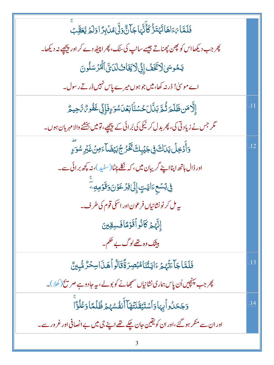| فَلَمَّا يَ اَهَاتَهُتَزُّ كَأَنَّهَا جَالٌّ وَلَّىٰ مُدۡ بِرَّ اوَلَهُ يُعَقِّبُ        |     |
|------------------------------------------------------------------------------------------|-----|
| چر جب دیکھااس کو پھن پھناتے جیسے سانپ کی لگ، پھر اپنیٹھ دے کر اور پیچھپے نہ دیکھا۔       |     |
| يَمُوسَىٰ لَاتَّخَفُ إِنِّ لَا يَخَاثُ لَدَىً الْمُرْسَلُونَ                             |     |
| اے موسیٰ! ڈرنہ کھا،میں جو ہوں میرے پاس نہیں ڈرتے رسول۔                                   |     |
| ٳؚٳۜ۠ۮڡؘڹڟؘڶٙۄؘڐؙۿڗڹڷڶڂۺڹۢؗٲڹڡؘڷۺۊٷؘٳؚڹۣٚۼؘڨؙۏ؆۠؆ڿۑۿ                                     | .11 |
| مگر جس نے زیادتی کی، پھر بدل کر نیکی کی بُرائی کے پیچھے، تومیں بخشنے والا مہر بان ہوں۔   |     |
| <u>ۅٙٲؖۮڿڶؙؾٮؘڶ<sup>ۣ</sup>؋ڣ</u> ڿؽٙۑؚڬ <i>ؾٚۮ۫ۮڿ</i> ۘڹؿۻؘٲٶڽۛ۫ۼؘڹ <sub>ٚ</sub> ڔۺۅٙۦٟ | .12 |
| اور ڈال ہاتھ اپنااپنے گریبان میں، کہ نظے چِٹا(سفید)، نہ <u>پ</u> چھ برائی ہے۔            |     |
| ڣۣ <i>۫</i> ؾؚۺۼٵؾؾؚٳ۪ڸؘ؋ۯۼۏڹؘۏڡؘۏڡ                                                      |     |
| ىيەمل كرنونشانياں فرعون اور اسكى قوم كى طرف۔                                             |     |
| إِنَّهُمۡ كَانُواۡقَوۡمَاۡفَسِقِینَ                                                      |     |
| بیثک وہ تھےلوگ بے حکم۔                                                                   |     |
| فَلَمَّاجَاءَتَّهُمْ ءَايَتُنَامُبۡصِرَةَۚقَالُواۡهَـٰٓدَاسِحۡرٌ مُّبِينٌ                | .13 |
| پھر جب پہنچیں اُن پاس ہماری نشانیاں سمجھانے کو بولے ، یہ جادوہے صر پخ (کھلا)۔            |     |
| وَجَحَلُواۡبِهَاوَٱسۡتَيۡقَنَتُهَاۤٱنۡفُسُهُمۡ ظُلۡمَّاوَعُلُوَّاۤ                       | .14 |
| اور ان سے منکر ہو گئے،اور ان کو یقین جان چکے تھے اپنے جی میں بے انصافی اور غرور سے۔      |     |
|                                                                                          |     |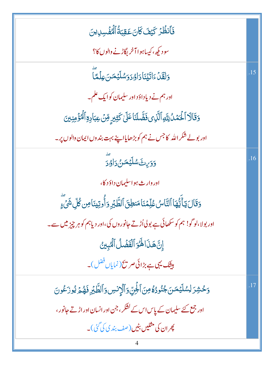| فَأَنظُرُ كَيْفَ كَانَ عَقِبَةُ ٱلْمُفَْسِدِينَ                                                       |     |
|-------------------------------------------------------------------------------------------------------|-----|
| سودیکھ، کیساہوا آخر بگاڑنے والوں کا؟                                                                  |     |
| <u>وَلَقَلْءَاتَي</u> ْنَادَاوُدَوَسُلَيْمَنَ عِلْمَاً                                                | .15 |
| اور ہم نے دیاداؤد اور سلیمان کوایک علم۔                                                               |     |
| <u>وَقَالَا ٱلۡ</u> ۡعَمَٰلُ لِلَّهِ ٱلَّذِى فَضَّلَنَا عَلَىٰ كَثِيرٍ مِّنۡ عِبَادِةِ ٱلۡنُؤۡمِنِينَ |     |
| اور بولے شکر اللہ کا جس نے ہم کو بڑھایااپنے بہت بند وں ایمان دالوں پر۔                                |     |
| <u>وَو</u> َي <sup>ن</sup> َ سُلَيْمَـنُ رَاوُدَ                                                      | .16 |
| اور وارث ہواسلیمان داؤد کا،                                                                           |     |
| وَقَالَ يَأَيُّهَا ٱلتَّاسُ عُلِّمۡنَامَنطِنَ ٱلطَّٰبَرِ وَأُوتِينَاصِ كُلِّ شَىٰٓءٍ                  |     |
| اور بولا،لوگو! ہم کو سکھائی ہے بولی اُڑتے جانوروں کی،اور دیاہم کو ہر چیز میں سے۔                      |     |
| إِنَّ هَذَا لَهُوَ ٱلْقَضَّلُ ٱلْمُبِينُ                                                              |     |
| بیٹک یہی ہے بڑائی صر تک <sup>ی</sup> نمایاں فضل)۔                                                     |     |
| وَحْشِرَ لِسُلَيْمَنَ جُنُودُهُ مِنَ ٱلْجِنِّ وَٱلْإِنسِ وَٱلطَّيْرِ فَهُمَّ يُوزَعُونَ               |     |
| اور جمع کئے سلیمان کے پاس اس کے کشکر ، جن اور انسان اور اڑتے جانور ،                                  |     |
| پھران کی مثلیں بٹیں (صف بندی کی گ <sup>ئی</sup> )۔                                                    |     |
|                                                                                                       |     |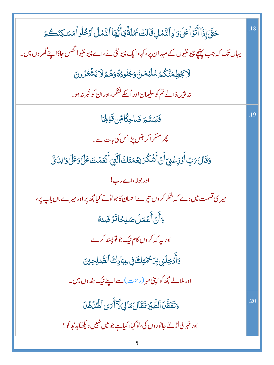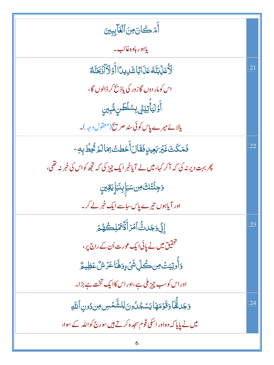| أَمْكَانَ مِنَ ٱلۡغَآبِبِينَ                                                      |     |
|-----------------------------------------------------------------------------------|-----|
| ياہورہادہ غائب۔                                                                   |     |
| ڵڒؙٛ۠ٙٚۘۘۘڡؘڹۨڹۜ <i>ڐؙڡ۠</i> ڡؘۮؘٲڹؘٵۺؘڸؠڽٲٲٲٙۏڵٲٲڋ <i>ڿڐ</i> ٞ؋                  | .21 |
| اس کومار دوں گازور کی یاذ بح کر ڈالوں گا،                                         |     |
| ٲۜٛۅٙڶؾؘٲۜؾؚؾ <sub>ۻ۠ؖ</sub> ۑؚۺڶڟڹۿ۠ؠؚؾڹۣ                                        |     |
| یالائے میرے پاس کوئی سند صر پیخ(معقول دجہ)۔                                       |     |
| فَمَكَثَ غَيْرَبَعِيدٍفَقَالَ أَحَطتُ مِمَالَمْ تُحِطَّ بِهِۦ                     | .22 |
| پھر بہت دیر نہ کی کہ آکر کہا، میں لے آیاخبر ایک چیز کی کہ تجھ کواس کی خبر نہ تھی، |     |
| <b>ۯڿؚ</b> ٸٛؖٞؾ۠ڬ؈ڛڛؘٳؚۑؚڹؘۑؘٳؚۑؘ <u>ۊڛ</u>                                      |     |
| اور آیاہوں تیرے پاس ساسے ایک خبر لے کر۔                                           |     |
| ٳڹۣ۠ٙ <sub>۠</sub> ۏ <sup>ۭ</sup> ڮؘڵؾ۠ۘٲڡ۫ڗٲۨۊۘ۠ۧۥۧۿؘڶؚڂۿڋ                       | .23 |
| تحقیق میں نے پائی ایک عورت اُن کے راج پر ،                                        |     |
| <u>ۏ</u> ٲ۠ۅؾؚؾؾؙڡؚڹ؎ؙڵؚۺؙۨٛ <sub>ٷ</sub> ؚۏۿؘٵۼۯۺ۠ػڟؚؚۑۿ                         |     |
| اور اس کوسب چیز ملی ہے،اور اس کاایک تخت ہے بڑا۔                                   |     |
| وَجَلقُّمَا وَقَوْمَهَا يَسْجُلُونَ لِلشَّمَسِ مِن دُونِ ٱللَّهِ                  | .24 |
| میں نے پایا کہ وہ اور اسکی قوم سجدہ کرتے ہیں سورج کواللہ کے سِوا،                 |     |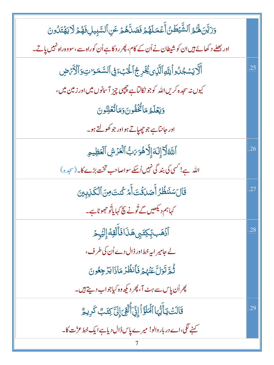| وَرَيَّنَ لَهُمُ ٱلشَّيْطَنُ أَعۡمَلَهُمۡ فَصَلَّهُمۡ عَنِ ٱلسَّبِيلِ فَهُمۡ لَا يَهۡتَدُونَ |     |
|----------------------------------------------------------------------------------------------|-----|
| اور بھلے د کھائے ہیں ان کو شیطان نے اُن کے کام، پھر روکا ہے اُن کوراہ سے،سووہ راہ نہیں پاتے۔ |     |
| أَلَّا يَسْجُلُواْ لِلَّهِ ٱلَّذِى يُخْرِجُ ٱلْخَبَءَفِى ٱلسَّمَوَاتِ وَٱلْأَمَّ ضِ          | .25 |
| کیوں نہ سجدہ کریں اللہ کوجو نکالتاہے چچپی چیز آسانوں میں اور زمین میں،                       |     |
| وَيَعۡلَمُ مَائُخۡفُونَوَمَاتُعۡلِنُونَ                                                      |     |
| اور جانٽا ہے جو چھپاتے ہو اور جو کھولتے ہو۔                                                  |     |
| ٱلتَّهُلَّآ إِلَهَ إِلَّاهُوَ رَبُّ ٱلْعَزِّشِ ٱلْعَظِيمِ                                    | .26 |
| اللہ ہے! کسی کی بند گی نہیں اُسکے سواصاحب تخت بڑے کا۔(سجدہ)                                  |     |
| قَالَ سَنَنظُرُ أَصَدَقَتَ أَمَرُ كُنتَ مِنَ ٱلْكَذِبِينَ                                    | .27 |
| کہاہم دیکھیں گے تُونے سچ کہا یاتُو جھوٹاہے۔                                                  |     |
| ٱذۡۿَبِٱلۡتِكِتَبِىۿذَافَأَلۡقِهَۚٳؚ <sup>ٳ</sup> ؽٙ <sub>ؿ</sub> ؚمۡ                        | .28 |
| لے جامیر ایہ خط اور ڈال دے اُن کی طرف،                                                       |     |
| ثُمَّ تَوَلَّ عَنَّهُمَّ فَأَنظُرُ مَاذَا يَرْجِعُونَ                                        |     |
| پھراُن پاس سے ہٹ آ، پھر دیکھ وہ کیاجواب دیتے ہیں۔                                            |     |
| قَالَتْ يَأَيُّهَا ٱلْمَلَؤُاْ إِنِّىٓ أَلْقِيَ إِلَىَّ كِتَبْ كَرِيمٌ                       | .29 |
| کہنے لگی،اے دربار والو! میرے پاس ڈال دیاہے ایک خط عزّت کا۔                                   |     |
|                                                                                              |     |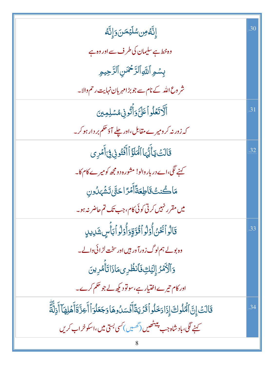| ٳڹۜ۠ڡؙڡؚڹۺڶؽڡڗٳۣٮ۠ۜڡ                                                                                 | .30 |
|------------------------------------------------------------------------------------------------------|-----|
| وہ خط ہے سلیمان کی طرف سے اور وہ ہے                                                                  |     |
| بِسُمِ ٱللَّهِٱلرَّحْمَنِٱلرَّحِيمِ                                                                  |     |
| شر وع الله کے نام سے جو بڑامہر بان نہایت رحم والا۔                                                   |     |
| أَلَّاتَعۡلُواۡعَلَیَّوَأَنُّونِىمُسۡلِمِینَ                                                         | .31 |
| کہ زور نہ کر ومیرے مقابل،اور چلے آؤتھم بر دار ہو کر۔                                                 |     |
| قَالَتُ يَأَيُّهَا ٱلْمَلَؤُاۡأَفۡتُونِى فِىٓأَمۡرِى                                                 | .32 |
| کہنے لگی،اے دربار والو! مشورہ دومجھ کومیرے کام کا۔                                                   |     |
| مَاكُنتُ قَاطِعَةًأَمۡرَّاحَتَّىٰ تَشۡهَىٰدُونِ                                                      |     |
| میں مقرر نہیں کرتی کوئی کام،جب تک تم حاضر نہ ہو۔                                                     |     |
| قَالُواۡ فَخَنُ أُوۡلُواۡ قُوَّقٍوَاۚ وَلَٰٓ وَآٰ بَأۡسٍ شَرِيدٍ                                     | .33 |
| وہ بولے ہم لوگ زورآ ور ہیں اور سخت لڑ ائی دالے۔                                                      |     |
| وَٱلۡأَمۡدُ إِلَيۡكِ فَٱنظُرِىمَاذَاتَأَمُرِينَ                                                      |     |
| ادر کام تیرےاختیار ہے،سولود کیھ لے جو حکم کرے۔                                                       |     |
| قَالَتْ إِنَّ ٱلۡمُلُوكَ إِذَادَخَلُواۡقَدۡيَةَۚأَفَسَلُوهَاوَجَعَلۡوَٱأَطِرَّةَأَهۡلِهَاۤأَذِلَّةَٓ | .34 |
| کہنے لگی، باد شاہ جب پیٹٹھیں ( <i>نھین ) کسی بستی میں</i> ،اسکو خراب کریں                            |     |
|                                                                                                      |     |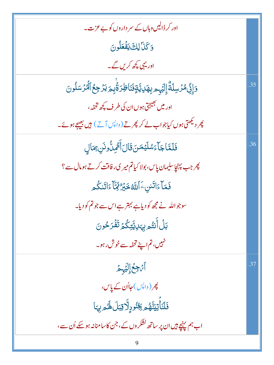| اور کر ڈالیں دہاں کے سر داروں کو بے عزت۔                                          |     |
|-----------------------------------------------------------------------------------|-----|
| وَكَنَا لِكَ يَفْعَلُونَ                                                          |     |
| اور یہی کچھ کریں گے۔                                                              |     |
| <u>ۅٙٳؚۣ</u> ڹۣ۠ٙۿۯڛڶڐٞٳٟڶؽٙ <sub>ڮ</sub> ۄڔؚۿڸؾٞۊؚۣڡ۫ڹؘٲڟٟۯٷ۠ٛۑؚۄؘؾۯڿؚڂٱڵۘٷۯۺڵۅڽ | .35 |
| اور میں بھیجتی ہوں ان کی طرف کچھ تخفہ،                                            |     |
| پھر دیکھتی ہوں کیاجواب لے کر پھر تے (واپس آتے) <b>ہیں بھیجے ہو</b> ئے۔            |     |
| فَلَمَّا جَآءَسُلَيْمَنَ قَالَ أَثْمِنُّونَنِ مِمَالِ                             | .36 |
| پھر جب پہنچاسلیمان پاس، بولا کیاتم میر کی رفاقت کرتے ہومال سے؟                    |     |
| فَعَآءَاتَسْۦَٱللَّهُ خَبۡرٌ لَّهِمَّآءَاتَنكُم                                   |     |
| سوجواللہ نے مجھ کو دیاہے بہتر ہے اس سے جو تم کو دیا۔                              |     |
| <u>ڹ</u> ڶٙٲؙٛڹؿ۠ <sub>ڡڔ</sub> ۑ <sub>ؠۜ</sub> ڸٳؾؖڗػؙ۠ۿ؆ٙڠؙڗڂۏڹؘ                |     |
| نہیں، تم اپنے تحفہ سے خوش رہو۔                                                    |     |
| آثرجعُ إِلَيْهِمْ                                                                 | .37 |
| پھر (واپس)ح <b>ااُن کے پا</b> س،                                                  |     |
| فَلَنَأْتِيَنَّهُمْ يِجُنُودٍلَّاقِبَلَ لَهُمْ بِهَا                              |     |
| اب ہم پہنچے ہیں ان پر ساتھ کشکر وں کے ، جن کاسامنانہ ہو سکے اُن سے ،              |     |
| 9                                                                                 |     |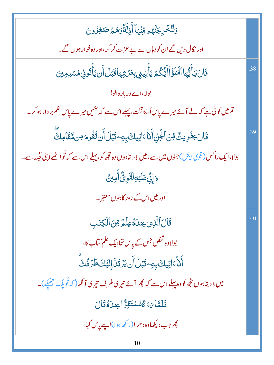| وَلَنُّخۡرِجَنَّهُم مِّنۡهَاۤ أَزِلَّةًوَهُمۡ صَ <i>ٰ</i> غِرُونَ                                        |     |
|----------------------------------------------------------------------------------------------------------|-----|
| اور نکال دیں گے ان کو وہاں سے بے عزت کر کر ،اور وہ خوار ہوں گے۔                                          |     |
| قَالَ يَأَيُّهَا ٱلۡمَلَوُّ ٱأَيُّكُمۡ يَأۡتِينِى بِعَرۡشِهَاقَبَلَ أَن يَأۡتُونِىمُسۡلِمِينَ            | .38 |
| بولا،اے دربار والو!                                                                                      |     |
| تم میں کوئی ہے کہ لے آئے میرے پاساُ کاتخت، پہلے اس سے کہ آئیں میرے پاس حکم بر دار ہو کر۔                 |     |
| قَالَ عِفۡرِيتٌ مِّنَ ٱلۡجِنِّ أَنَا۠ءَاتِيكَ بِهِۦ قَبَلَ أَن تَقُومَ مِن مَّقَامِكَ                    | .39 |
| بولا،ایک را کس ( قوی ہیکل ) جنوں میں سے،میں لا دیتاہوں وہ تجھ کو، پہلے اس سے کہ تُواُ ٹھے اپنی حَکھہ سے۔ |     |
| <u>وَإِنِّی عَلَیۡوَاقَوِیٌّ</u> اأُمِینَّ                                                               |     |
| اور میں اس کے زور کاہوں معتبر۔                                                                           |     |
| قَالَ ٱلَّذِى عِندَهُ عِلْمٌ مِّنَ ٱلۡكِتَبِ                                                             | .40 |
| بولاوہ څخص جس کے پاس تھاایک علم کتاب کا،                                                                 |     |
| أَنَاْءَاتِيكَ بِهِ يَبْلَأَن يَزْتَلَّ إِلَيْكَ طَرُفُكَ                                                |     |
| میں لا دیتاہوں تجھ کو وہ پہلے اس سے کہ پھر آئے تیری طرف تیری آنکھ ( کہ ٹُویلک جھکے )۔                    |     |
| فَلَمَّا يَءَاكُمُسَتَقِرًّ اعِندَهُ قَالَ                                                               |     |
| پھر جب دیکھاوہ د حر ا(رکھاہوا)اپنے پاس کہا،                                                              |     |
| 10                                                                                                       |     |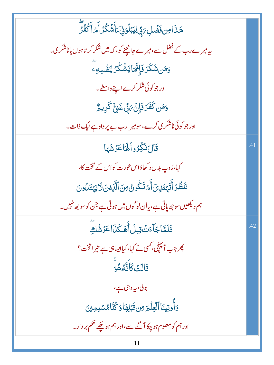| ۿٙۮؘاصِ فَضۡلِ يَ لِيَبۡلُوَنِىٓءَأَشَكُرُ أَمۡ أَكۡفُرُ            |     |
|---------------------------------------------------------------------|-----|
| یہ میرے رب کے فضل سے،میرے جانچنے کو، کہ میں شکر کر تاہوں پاناشکر ی۔ |     |
| و <b>َمَن شَكَرَ فَإِ<sup>ي</sup>َّمَا</b> يَشۡكُرُ لِنَفۡسِهِۦ     |     |
| اور جو کوئی شکر کرے اپنے واسطے۔                                     |     |
| <b>وَمَن كَفَرَ فَإِنَّ بَ<sub>ا</sub>ِّي غَنِيٌّ كَرِيمٌ</b>       |     |
| اور جو کوئی ناشکر <sub>کی</sub> کرے،سومیر ارب بے پر واہ ہے نیک ذات۔ |     |
| قَالَ نَكِّرُواْلَهَا عَزَشَهَا                                     | .41 |
| کہا،رُوپ بدل د کھاؤاس عورت کواس کے تخت کا،                          |     |
| نَنظُرُ أَتَهَتَلِيَ أَمَّ تَكُونُ مِنَ ٱلَّذِينَ لَا يَهْتَلُونَ   |     |
| ہم دیکھیں سو جھ یاتی ہے، یااُن لو گوں میں ہوتی ہے جن کو سو جھ نہیں۔ |     |
| فَلَمَّاجَاًءَتُّقِيلَ أَهَكَذَا عَزَشُكِّ                          | .42 |
| پھر جب آمپنچی، <i>کسی نے کہا</i> ، کیاالیباہی ہے تیر اتخت؟          |     |
| قَالَتْ كَأَنَّهُ هُوَ                                              |     |
| بولی، بیہ وہی ہے،                                                   |     |
| وَأُوتِينَا ٱلۡعِلۡمَ مِن قَبَٰلِهَاۚ وَكُنَّامُسۡلِمِینَ           |     |
| اور ہم کو معلوم ہو چکا آگے سے،اور ہم ہو چکے تھم بر دار۔             |     |
| 11                                                                  |     |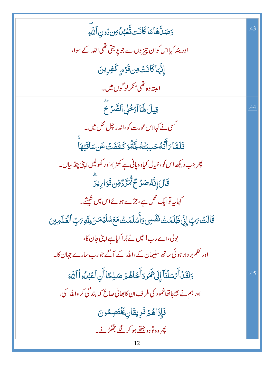| وَصَلَّهَامَا كَانَت تَّعۡبُلُ مِن دُونِ ٱللَّهِ                                                |     |
|-------------------------------------------------------------------------------------------------|-----|
| اور بند کیااس کوان چیز وں سے جو پو جتی تھی اللہ کے سوا،                                         |     |
| إِنَّهَاكَانَتْ مِن قَوْمٍ كَفِرِينَ                                                            |     |
| ال <i>ې</i> ته وه تھی منګرلو گوں میں۔                                                           |     |
| قِيلَ لَهَا آَدْخُلِي ٱلصَّرَحَ                                                                 | .44 |
| <sup>کس</sup> ی نے کہااس عورت کو،اندر چل محل میں۔                                               |     |
| فَلَمَّا بَأَثَّهُ حَسِبَتُهُ لَجَّةًوَ كَشَفَتُ عَن سَاقَيُهَا                                 |     |
| پھر جب دیکھااس کو، خیال کیاوہ پانی ہے کھڑ ا،اور کھولیں اپنی پنڈلیاں۔                            |     |
| <b>قَالَ إِنَّهُ صَرَّحٌ مُّتَرَّدٌ</b> قِن <b>ْ قَوَا</b> رِيدَ                                |     |
| کہاںیہ توایک محل ہے، جڑے ہوئےاس میں شیشے۔                                                       |     |
| قَالَتۡ یَبِّ إِنِّیۡ ظَلَمۡتُ نَفۡسِیۡ وَأَسۡلَمۡتُ مَعَ سُلَیۡمَنَ لِلَّهِ یَبِّ ٱلۡعَلَمِینَ |     |
| بولی،اےرب! میں نے بُراکیاہےاپیّ جان کا،                                                         |     |
| اور حکم بر دار ہو ئی ساتھ سلیمان کے ،اللہ کے آگے جو رب سارے جہان کا۔                            |     |
| وَلَقَدۡ أَيۡسَلۡنَآ إِلَىٰ ثَمُودَأَخَاهُمۡ صَلِحًا أَنِ ٱعۡبُدُواۡ ٱللَّهَ                    | .45 |
| اور ہم نے بھیجاتھاشمو د کی طرف ان کابھائی صالح کہ بند گی کر واللہ کی،                           |     |
| فَإِذَاهُمْ فَرِيقَانِ يَخْتَصِمُونَ                                                            |     |
| پھر وہ تو دو جتھے ہو کر لگے جھگڑنے۔                                                             |     |
| 12                                                                                              |     |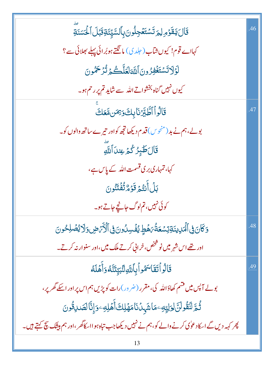| قَالَ يَقَوْمِ لِمَ تَسْتَعْجِلُونَ بِٱلسَّيِّئَةِ قَبْلَ ٱلْحَسَنَةِ                                 | .46 |
|-------------------------------------------------------------------------------------------------------|-----|
| کہااے قوم! کیوں شآب ( جلد کی) مانگتے ہوبُرائی پہلے بھلائی سے ؟                                        |     |
| لَوْلَاتَسْتَغْفِرُونَ اللَّهَ لَعَلَّكُمْ تُرْكَهُونَ                                                |     |
| کیوں نہیں گناہ بخشواتے اللہ سے شاید تم پر رحم ہو۔                                                     |     |
| قَالُواْ الطَّبِّرُنَا بِكَ وَبِمَن مَّعَكَ                                                           | .47 |
| بولے،ہم نے بد (منحوس) قدم دیکھاتجھ کواور تیرے ساتھ دالوں کو۔                                          |     |
| قَالَ طَيْرُ كُمُ عِندَ ٱللَّهِ                                                                       |     |
| کہا، تمہاری بری قسمت اللہ کے پاس ہے،                                                                  |     |
| بَلۡ أَنتُمۡ قَوۡمٌ تُفۡتَنُونَ                                                                       |     |
| کوئی نہیں، تم لوگ جانچے جاتے ہو۔                                                                      |     |
| وَكَانَ فِى ٱلْمَرِينَةِتِسْعَةُ مَهُطٍ يُفْسِلُونَ فِى ٱلْأَمْضِ وَلَا يُصْلِحُونَ                   | .48 |
| اور <u>تھے</u> اس شہر میں نو شخص، خرانی کرتے ملک میں،اور سنوار نہ کرتے۔                               |     |
| قَالُواۡ تَقَاسَمُواۡ بِٱللَّهِ لِنَّبَيِّنَّنَّهُ وَأَهۡلَهُ                                         | .49 |
| بولے آپس میں قشم کھاؤاللہ کی،مقرر (ضرور)رات کو پڑیں ہم اس پر اور اسکے گھر پر،                         |     |
| ڐؙٛڋ <i>ڐؘ</i> ڷؘؘڟۛ۫ۅڶڹؖٙڶۊڶۣؾۣڡؚۦڡؘٲۺؘؠٮؗٛڹؘٲڡؘۿٙڶؚڮٲۜۿؘڸڡؚۦۏٳۣڐۜٵڶڝؘڔڟؙۏڹ                          |     |
| پھر کہہ دیں گے اسکاد عوٰی کرنے والے کو،ہم نے نہیں دیکھاجب تباہ ہوااسکاگھر ،اور ہم بیٹنک بیچ کہتے ہیں۔ |     |
|                                                                                                       |     |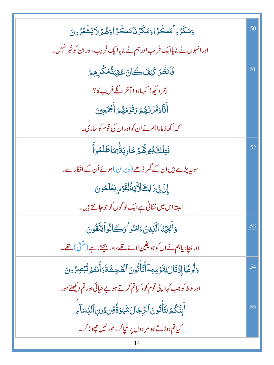| وَمَكَرُواْمَكَرَاوَمَكَرۡنَامَكَرَاوَهُمۡ لَايَشۡعُرُونَ                      | .50 |
|--------------------------------------------------------------------------------|-----|
| اور انہوں نے بنایاایک فریب اور ہم نے بنایاایک فریب،اور ان کو خبر نہیں۔         |     |
| فَأَنظُرُ كَيْفَكَانَعَقِبَةُمَكَّرِهِمُ                                       | .51 |
| پھر دیکھ! کیپاہوا آخرائ <mark>کے فریب کا</mark> ؟                              |     |
| أَثَّادَمَّرۡ لَـٰهُمۡ وَقَوۡمَهُمۡ أَجۡمَعِینَ                                |     |
| کہ اکھاڑ ماراہم نے ان کواور ان کی قوم کوساری۔                                  |     |
| فَتِلۡكَ بُيُوهُۢهُمۡ خَاوِيَةَٰٓ بِمَاظَلَمُوٓاَ                              | .52 |
| سوبہ پڑے ہیں ان کے گھر ڈھے (ویر ان) ہوئے اُن کے انکار سے۔                      |     |
| إِنَّ فِي ذَٰ لِكَ لَأَيَةً لِقَوْمٍ يَعْلَمُونَ                               |     |
| البتہ اس میں نشانی ہے ایک لو گوں کو جو جانتے ہیں۔                              |     |
| دَأَنْجَيْنَا ٱلَّذِينَءَامَنُواْدَكَانُواْيَتَّقُونَ                          | .53 |
| اور بجاٍدیاہم نے ان کو جو یقین لائے تھے،اور بچتے رہے ( مثقی ) تھے۔             |     |
| وَلُوطًا إِذۡقَالَ لِقَوۡمِهِۦ ٓ أَيَّأۡتُونَ ٱلۡفَجِشَةَوَأَنتُمۡ تُبۡصِرُونَ | .54 |
| اورلوط کو جب کہاا پنی قوم کو، کیاتم کرتے ہو بے حیائی اور تم دیکھتے ہو۔         |     |
| ٲۜؠؚؾۜػ۠ؗؗۿٙڶؾٲؘٞٛڐؙۏڹؘٲڶڗؚڿٵڶۺؘؠٛ <sub>ٙػ</sub> ۊ۬ۜٞۊۜ۠؈ٚۮۏڹۣٲڶڹؚۨ؊ٙٳۨۦؚ      | .55 |
| کیاتم دوڑتے ہو مر دوں پر للچاکر،عور تیں چھوڑ کر۔                               |     |
|                                                                                |     |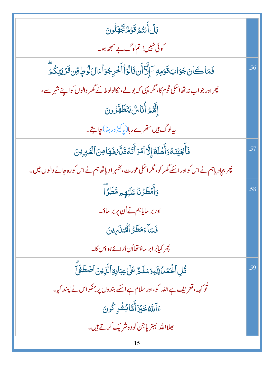| بَلۡ أَنتُمۡ قَوۡمٌ بَجۡهَلُونَ                                                                   |     |
|---------------------------------------------------------------------------------------------------|-----|
| کوئی نہیں! تم لوگ بے سمجھ ہو۔                                                                     |     |
| فَمَاكَانَ جَوَابَ قَوْمِهِ ﴾ إِلَّآ أَن قَالُوَٱ أَخْرِ جُوَاۡ ءَالَ لَوۡطٍ مِّن قَرۡ يَتِكُمۡ ۖ | .56 |
| پھر اور جواب نہ تھااسکی قوم کا، مگریہی کہ بولے، نکالولوط کے گھر والوں کواپنے شہر سے،              |     |
| ٳؠ <sup>ۣ</sup> ٞؖڴ <sub>ػ</sub> ؚڔٵؙ۠ڹؘٵڛ۠ؾؘڟؘۿ <i>ٙۯ</i> ؗۏڹ                                    |     |
| ىيەلوگ ہيں ستقرےر ہا(ياكىزەر ہنا)جاہتے۔                                                           |     |
| فَأَبْجَيْنَهُ وَأَهَلَهُ إِلَّا ٱمۡرَأَتَهُ قَلَّ ۚ فَقَا مِنَ ٱلۡغَيِرِينَ                      | .57 |
| پھر بجادیاہم نے اس کواور اسکے گھر کو، مگر اسکی عورت، کٹھہر ادیا تھاہم نے اس کورہ جانے والوں میں۔  |     |
| وَأَمۡطَرۡنَاعَلَيۡهِم مَّطَرَّآ                                                                  | .58 |
| اور بر سایاہم نے اُن پر بر ساؤ۔                                                                   |     |
| فَسَاءَمَطَرُ ٱلْمُنذَىبِينَ                                                                      |     |
| چر کیابُرابر ساؤتھااُن ڈرائے ہوؤں کا۔                                                             |     |
| قُلِ ٱلۡمَمۡدُلِلَّهِ وَسَلَمُّ عَلَىٰ عِبَادِةِ ٱلََّذِينَ ٱصۡطَفَىٰٓ                            | .59 |
| ثو کہہ، تعریف ہے اللہ کو،اور سلام ہے اسکے بندوں پر جنکواس نے پسند کیا۔                            |     |
| ءَآللَّهُ خَبِّرٌ أَمَّا يُشْرِكُونَ                                                              |     |
| <u> جلاالله بہتر یا</u> جن کووہ شریک کرتے ہیں۔                                                    |     |
| 15                                                                                                |     |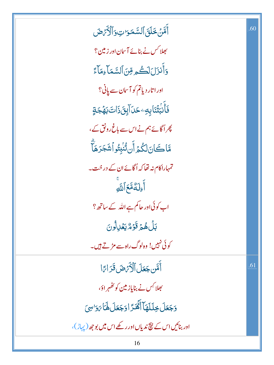أَمَّنَ خَلَقَ ٱلسَّمَوَاتِوَٱلْأَرْضَ  $\frac{1}{2}$  $\frac{1}{2}$ .<br>-خَلَقَ ٱلسَّمَ أَهَّنۡ خَلَقَ ٱلسَّمَ  $\tilde{\epsilon}$ جلا کس نے بنائے آسان اور زمین؟ وَأَنزَلَلَكُم قِنَ ٱلسَّمَآءِمَآءً .<br>ع <u>وَ</u>انْزَلَکَڪُھ ِفِنَالسَّمَ <mark>أَنزَلَ</mark>لَكُم<sup>ِ</sup>ةِ  $\zeta$ اور اتار دیاتم کو آسان سے پانی؟ ڣؘٲۛۧٮؗڹ*ؾ۫ٞ*ڹؘٳۑؚ<sub>ڮ</sub>ۦڂڶٳؖڹۣڹؘۮؘٳٮ*ؾؘ*ڔۿڿۊٟ ٕ .<br>مارا أُكُّلُّ ֝ م<br>أ ذُ چراگائے ہم نےاس سے باغ رونق کے ، مَّاكَانَلگْمَرَّ أَنتُنْبِتُو أَشَجَرَهَالَّ  $\ddot{\mathbf{r}}$ ۔<br>گ  $\tilde{\epsilon}$ ֞ تمہاراکام نہ تھا کہ اُگائے ان کے در خت۔ أُءِ<mark>لَ</mark>ةٌمَّعَ ٱللَّهِ  $\tilde{\epsilon}$ + ۚ◌ اب کوئی اور حالم ہے اللہ کے ساتھ ؟ بَلۡ هُمۡ قَوۡمٌ یَعۡلِلُونَ  $\frac{1}{2}$ ز قَوْمٌ يَعُلِ<sup>[</sup> بَلۡ هُمۡ قَوۡمٌ یَ*وۡ* َمُ é  $\int$ کوئی کہیں! وہ لوگ راہ سے مڑتے ہیں۔ أَمَّن جَعَلَ ٱلْأَيَّ ضَ قَرَاءًا  $\tilde{\epsilon}$ بھلا<sup>کِس</sup> نے بنایاز مین کو تھُہر اوَ، وَجَعَلَ خِلَلَهَآ أَهْدَّ اوَجَعَلَ لَهَا بَوَ'سِيَ  $\ddot{\phantom{0}}$  $\frac{1}{2}$ وَجَعَلَ خِلَلَهَأَ أَهْدَّ اوَجَعَلَ لَهَا يَوَ .<br>كُلُّ ۡ فيللهاأ كِلْلَهَ + اور بنائیں اس کے بیچ ندیاں اور رکھے اس میں بوجھ ( پہاڑ )،

.60

.61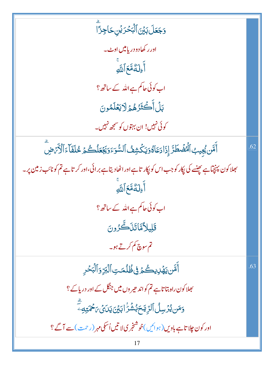وَجَعَلَ بَيْنَ ٱلْبَحْرَيْنِ حَاجِزًا اور رکھادو دریامیں اوٹ۔ أَءِلَهُمَّعَ ٱللَّهِ اب کوئی حاکم ہے اللہ کے ساتھ؟ بَلۡ أَكۡثَرُهُمۡ لَايَعۡلَمُونَ کوئی نہیں! ان بہتوں کو سمجھ نہیں۔ أَمَّن يُجِيبُ ٱلْمُضَطَّرَ إِذَا دَعَاهُوَيَكْشِفُ ٱلسُّوَءَوَيَجْعَلُكُمۡ خُلَفَآءَٱلۡأَرۡمَضِ .62 بھلاکون پہنچاہے پھنسے کی اِکار کو جب اس کو اِکار تاہے اور اٹھادیتاہے برائی،اور کر تاہے تم کونائب زمین پر۔ أَءِلَهُمَّعَ ٱللَّهِ اب کوئی جا کم ہے اللہ کے ساتھ ؟ قَلِيلاًمَّاتَذَكَّرُونَ تم سوچ کم کرتے ہو۔ أَمَّن يَهۡدِيكُمۡ فِى ظُلۡمَتِ ٱلۡبَرِّ وَٱلۡبَحۡرِ .63 <sup>ب</sup>ھلا کون راہ بتا تاہے تم کو اند حیر وں میں جنگل کے اور دریائے ؟ **وَمَن يُرۡسِلُ ٱلرِّيَّحَ بُشۡرَٰابَيۡنَ يَدَىۡنَ مِحۡمَّتِ**هِ ۖ اور کون چلا تاہے باویں (ہوائیں)خوشنجری لا تیں اُسکی مہر (رحمت)سے آگے؟ 17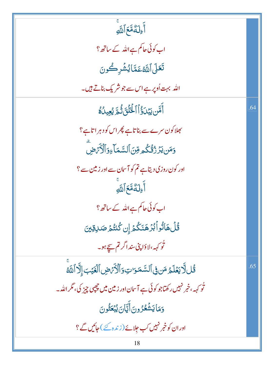| .<br>أَءِ <b>لَ</b> ةُمَّعَ ٱللَّهِ                                                     |     |
|-----------------------------------------------------------------------------------------|-----|
| اب کوئی حاکم ہے اللہ کے ساتھ؟                                                           |     |
| تَعَلَى ٱللَّهُ عَمَّائِشْرِكُونَ                                                       |     |
| اللہ بہت اُوپر ہے اس سے جو شریک بناتے ہیں۔                                              |     |
| أَمَّن يَبۡدَٰٓؤُاۡٱلۡـٰۡٓئَىۡ ثُمَّ يُعِيدُهُ                                          | .64 |
| <sup>م</sup> جلا کون سرے سے بناتاہے پھر اس کو دہر اتاہے؟                                |     |
| <u>و</u> َمَن <i>يَ</i> رَّرُنُّكُم مِّنَ ٱلسَّمَاءِوَٱلْأَيَّ ضِ                       |     |
| اور کون روزی دیتاہے تم کو آسان سے اور زمین سے ؟                                         |     |
| أَءِلَهُمَّعَ ٱللَّهِ                                                                   |     |
| اب کوئی حاکم ہے اللہ کے ساتھ؟                                                           |     |
| <i>ٞ</i> ۊ۠ڵۿٲڐ۠ۅٲٛڹ۠ۯۿٮؘؘٮؘػ۠ۮٳۣڹػۢٮٚ <i>ڎؙ</i> ۮڞڸۊؾ                                  |     |
| ٹو <sub>کہہ</sub> ،لاؤا پی سنداگر تم س <u>ے</u> ہو۔                                     |     |
| قُل لَا يَعۡلَمُ مَن فِى ٱلسَّمَوَاتِ وَٱلۡأَرۡىِ ۖ لَقَيۡبَ إِلَّا ٱللَّهَ             | .65 |
| ٹو <sub>کہہ</sub> ، خبر نہیں رکھتاجو کوئی ہے آسان اور زمین میں چھپی چیز کی، مگر اللّٰہ۔ |     |
| وَمَايَشُعُرُونَأَيَّانَ يُبۡعَثُونَ                                                    |     |
| اور ان کو خبر نہیں کب حلائے(زندہ کئے )حاکمیں گے ؟                                       |     |
| 18                                                                                      |     |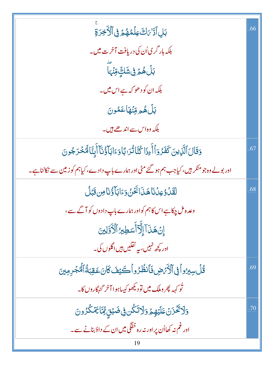| بَلِ أَدَّا بَاتَ عِلْمُهُمْ فِى ٱلْأَخِرَةِ                                                | .66 |
|---------------------------------------------------------------------------------------------|-----|
| بلکہ ہار گری اُن کی دریافت آخرت میں۔                                                        |     |
| ڹڶۿؗؗٙۿۄٙڣۣۺؘڮؖۄ <i>ؾ</i> ڹؖ                                                                |     |
| بلکہ ان کو د ھو کہ ہے اس میں۔                                                               |     |
| بَلْ هُمْ وِّنْهَا عَمُونَ                                                                  |     |
| بلکہ وہ اس سے اندھے ہیں۔                                                                    |     |
| وَقَالَ ٱلَّذِينَ كَفَرُوَٱ أَءِذَا كُنَّاتُرَ ابَّا وَءَابَآ وُّنَآ أَبِنَّا لَهُخُرَجُونَ | .67 |
| اور بولے وہ جو منکر ہیں، کیاجب ہم ہو گئے مٹی اور ہمارے باپ دادے، کیاہم کو زمین سے نکالناہے۔ |     |
| لَقَدۡ وَعِدۡنَا هَذَا أَخۡنُ وَءَابَآ وُٰنَاصِ قَبَل                                       | .68 |
| وعدہ مل چکاہے اس کاہم کواور ہمارے باپ دادوں کو آگے سے،                                      |     |
| إِنْ هَذَآ إِلَّآ أَسَطِيرُ ٱلْأَوَّلِينَ                                                   |     |
| اور کچھ نہیں، بیہ نقلیں ہیں اگلوں کی۔                                                       |     |
| قُلْ سِيرُواْ فِى ٱلْأَنْرَضِ فَأَنْظُرُواْكَيْفَ كَانَ عَقِبَةُ ٱلْمُجْرِمِينَ             | .69 |
| ٹو <sub>کہہ</sub> پھر وملک <b>میں تو</b> دیکھو کیساہو ا آخر گنہگاروں کا۔                    |     |
| <u>وَلَاتَخَزَنۡ عَلَيۡهِمۡ وَلَاتَكُن فِى ضَيۡنٍ مِّنَا يَمۡكُرُونَ</u>                    | .70 |
| اور غم نہ کھااُن پر اور نہ رہ خفگی میں ان کے داؤبنانے سے۔                                   |     |
|                                                                                             |     |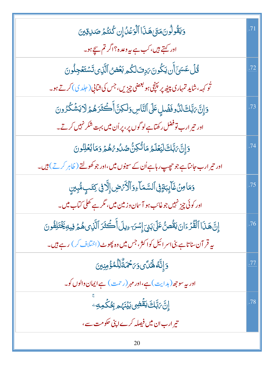| وَيَقُولُونَ مَتَىٰ هَذَا ٱلْوَعَلُ إِن كُنتُمَ صَلاِقِينَ                          | .71 |
|-------------------------------------------------------------------------------------|-----|
| اور کہتے ہیں، کب ہے پیہ وعدہ؟اگر تم سیچے ہو۔                                        |     |
| ۊ۠ڶ؆ۼۺ <sub>ؘڵ</sub> ٲؘۧڹؾػ۠ۅڹؘ <i>؆ؚ</i> ۣڡؘڶػ۠ڡڔڹ <i>ۼٙڞ</i> ۠ٲڷؘڗؚؠؾٙۺؾۼڿڵۅڹ     | .72 |
|                                                                                     |     |
| وَإِنَّ مَبَّلَكَ لَذُوفَضَلٍ عَلَى ٱلنَّاسِ وَلَكِنَّ أَكْثَرَهُمْ لَا يَشْكُرُونَ | .73 |
| اور تیر ارب توفضل رکھتاہے لو گوں پر ، پر اُن میں بہت شکر نہیں کرتے۔<br>'            |     |
| <i>ۮ</i> ٳؚڹؖٞ؆ڹۜ۠ڬٵڸؘؾ۬ڶۿ؋ٵڐؙػؚڽ۠۠ڞٮ۠ٱۏ؇ۿۿۯ؋ڡؘٲؽؙڂڵؚڹؙۏڹ                           | .74 |
| اور تیر ارب جانتاہے جو حچپ رہاہے اُن کے سینوں میں،اور جو کھولتے ( ظاہر کرتے ) ہیں۔  |     |
| وَمَامِنٌ غَآيِبَةٍ فِى ٱلسَّمَآءِ وَٱلۡأَرۡضِ إِلَّا فِى كِتَبِ مُّبِينِ           | .75 |
| اور کوئی چیز نہیں جو غائب ہو آسان وزمین میں، مگر ہے تھلی کتاب میں۔<br>۔             |     |
| ٳؚڹۜ۠ۿؘڹؘٳٳٱڷڤؙۯۦٙٳڹؾؘڨ۠ؗڞؗٵٙڸڹؽؘۣٳ۪ۺڹۦؠۣڸڶٲۚڂۘڠؘۯٳٱڷڕؽۿؽ؋ۣۑڮؿؘػڸڡ۠ٛۅڹ              | .76 |
| یہ قر آن ساتاہے بنی اسر ائیل کواکثر، جس میں وہ پھوٹ (اختلاف کر) رہے ہیں۔            |     |
| <u>ڔٙٳ</u> ڹٚؖڡ۠ڟؙ <i>ڐؙؽ</i> ۅ <i>؆ڂۮٙڐ۠</i> ڷؚڵڡ۠ٷٙڡڹۣێڹ                          | .77 |
| اور بیہ سو جھ ( ہد ایت ) ہے،اور مہر (رحمت ) ہے ایمان والوں کو۔                      |     |
| ٳۣڽٞٙۥۜڹؓڶڰؘؠؘڠۛٞۻؚۥؘڹؽۡڹٞۿۄۼؚ۠ڬٛڡؚڢؗۨ                                              | .78 |
| تیر ارب ان میں فیصلہ کرے اپنی حکومت سے،                                             |     |
| 20                                                                                  |     |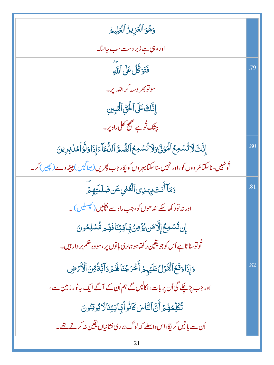| وَهُوَ ٱلۡعَزِيزُ ٱلۡعَلِيمُ                                                                    |     |
|-------------------------------------------------------------------------------------------------|-----|
| اور وہی ہے زبر دست سب جانتا۔                                                                    |     |
| فَتَوَكَّلُ عَلَى أَللَّهِ                                                                      | .79 |
| سونو بھروسہ کراللہ پر۔                                                                          |     |
| إِنَّكَ عَلَى ٱلْحَقِّ ٱلْمُبِينِ                                                               |     |
| بیشک تُوہے صحیح کھلی راہ پر۔                                                                    |     |
| إِنَّكَ لَا تُسْمِعُ ٱلْمَوْنَ وَلَا تُسْمِعُ ٱلصُّمَّ ٱلدُّعَآءَ إِذَا وَلَّوۡ أَمُّلۡ بِرِينَ | .80 |
| تُونہیں ساسکتامُر دوں کو،اور نہیں ساسکتابہر وں کو پکار جب پھریں( بھاگیس) پیپٹھ دے( پھیر) کر۔    |     |
| وَمَآ أَنتَ بِهَدِى ٱلۡعُمۡىِ عَن ضَلَلَتِهِمۡ                                                  | .81 |
| اور نہ تود کھاسکے اند ھوں کو، جب راہ سے بچلیں (پچسلیں ) ۔                                       |     |
| ٳۣڹڗ۠ٞٮۺڡؚڂٳٳؖڐڡؘڹؽۏٟۘ۠ٙڡؚڽ۠؋ٟٙٵؾڗؚڹؘٲڡؘۿۄۺ۠ۺڸڡ۠ۅڹ                                              |     |
| تُونوسنا تاہے اُس کو جویقین رکھتاہو ہماری باتوں پر ،سووہ حکم بر دار ہیں۔                        |     |
| وَإِذَا وَقَعَ ٱلْقَوْلُ عَلَيْهِمْ أَخْرَجْنَا هُمْ دَالَّيْةً مِّنَ ٱلْأَمْهِنِ               | .82 |
| اور جب پڑچکے گی اُن پر بات، نکالیں گے ہم اُن کے آگے ایک جانور زمین سے،                          |     |
| تُكَلِّمُهُمَّ أَنَّ النَّاسَ كَانُو أَبَايَتِنَالَا يُوقِنُونَ                                 |     |
| اُن سے با تیں کر یگا،اس واسطے کہ لوگ ہماری نشانیاں یقین نہ کرتے تھے۔                            |     |
| 21                                                                                              |     |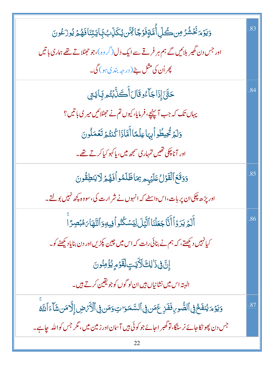| <u>ۅ</u> ٙؾۯٙۄؘڬؘۺۢۯڝڝڴڵؚٲ۠ڡۜٞۊٟڡؘۯٙڲٵ <sup>ڒ</sup> ۣۻۜ؋ڮػڷۣۨٮٜ۠ڣؘ۪ٳؾڗڹٲڡؘۿ۠ۄ۫ؽۄۯؘڠۄڽ                    | .83 |
|----------------------------------------------------------------------------------------------------------|-----|
| اور جس دن گھیر بلائیں گے ہم ہر فرقے سے ایک دَل(گر وہ)،جو جھٹلاتے تھے ہماری باتیں                         |     |
| پھراُن کی مثل بٹے (درجہ بند کی ہو) گی۔                                                                   |     |
| <i>ڂۊ۠ۜڹ</i> ٙٳؚؚۮؘٳڿۜآۦ۠ۏۊؘڶڶٲۘڂؘڷؘؖڹؙتُ۠۠۠ <sub>ڡ</sub> ڲؚٲؾؾؚ                                         | .84 |
| یہاں تک کہ جب آپنیچے، فرمایا، کیوں تم نے حہٹلائیں میر کی باتیں؟                                          |     |
| دَلَمَ تُحِيطُواْبِهَاعِلْمَّاأَهَّاذَاكُنتُمَ تَعُمَلُونَ                                               |     |
| اور آناچکی تھیں تمہاری سمجھ میں، پاکہو کیاکر تے تھے۔                                                     |     |
| وَوَقَعَ ٱلْقَوْلُ عَلَيْهِم مِمَاظَلَمُو أَفَهُمْ لَا يَنطِقُونَ                                        | .85 |
| اور پڑھ چکی ان پر بات،اس واسطے کہ انہوں نے شر ارت کی، سووہ <u>پ</u> چھ نہیں بولتے۔                       |     |
| أَلَمُ يَرَوۡأَأَنَّاۖ جَعَلۡنَاۚ ٱلَّيَٰٓلَ لِيَسۡكُنُواۡ فِيهِوَٱلنَّهَآٰءَ مُبۡصِرًاۚ                 | .86 |
| کیانہیں دیکھتے، کہ ہم نے بنائی رات کہ اس میں چین پکڑیں اور دن بنایاد کیھنے کو۔                           |     |
| إِنَّ فِي ذَٰ لِكَ لَأَيَتٍ لِقَوْمٍ يُؤْمِنُونَ                                                         |     |
| البتہ اس میں نشانیاں ہیں ان لو گوں کو جو یقین کرتے ہیں۔                                                  |     |
| وَيَوۡمَ يُنفَخۡ فِى ٱلصُّورِ فَفَزِعَمَن فِى ٱلسَّمَوَاتِ وَمَن فِى ٱلۡأَرۡصَٰى إِلَّا مَن شَآءَ ٱللَّه | .87 |
| جس دن پھو نکاحائے نر سنگا، تو گھبر احائے جو کوئی ہیں آسان اور زمین میں ، مگر جس کواللہ چاہے۔             |     |
| 22                                                                                                       |     |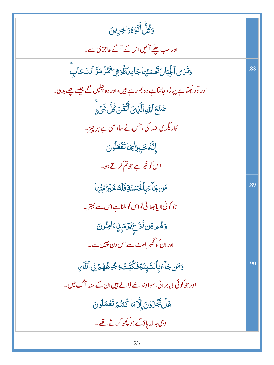| <u>وَكُلُّ</u> أَتَوَّهُ َ <sup>ا</sup> خِرِينَ                         |     |
|-------------------------------------------------------------------------|-----|
| اور سب چلے آئیں اس کے آگے عاجز کی سے۔                                   |     |
| وَتَرَى ٱلْجِبَالَ تَحۡسَبُهَاجَامِدَةَۚوَهِىَ تَمُرُّ مَرَّ ٱلسَّحَابِ | .88 |
| اور تو دیکھاہے پہاڑ، جانتاہے وہ جم رہے ہیں،اور وہ جلیں گے جیسے چلے بدل۔ |     |
| ڞؙ <i>ڹ۫ٙڂ</i> ٲڷڶ <i>ۊ</i> ٲڷۜڶۣؠؘؖٲڷؘۘۘڠٙڽؘڴڶۜۺؘٛۦٟۨ                  |     |
| کاریگر کی اللہ کی، جس نے سادھی ہے ہر چیز۔                               |     |
| إِنَّهُ خَبِيرُ' مَاتَفَعَلُونَ                                         |     |
| اس کو خمر ہے جو تم کرتے ہو۔                                             |     |
| <b>مَن جَآءَبِٱلْحَسَنَةِفَلَهُ خَبْرٌ مِّنۡمَ</b> ا                    | .89 |
| جو کوئی لا یا بھلائی تواس کوملناہے اس سے بہتر۔                          |     |
| <mark>وَهُمِ رِّن فَزَعٍ يَوۡ</mark> مَبِنِ ءَامِنُونَ                  |     |
| اور ان کو گھبر اہٹ سے اس دن چین ہے۔                                     |     |
| <u>و</u> َمَن جَأْءَبِٱلسَّيِّئَةِفَكُبَّتُ وُجُوهُهُمَّ فِى ٱلتَّارِ   | .90 |
| اور جو کوئی لا پابر ائی، سواوند ھے ڈالے ہیں ان کے منبہ آگ میں۔          |     |
| هَلۡ يُجۡزَوۡنَ إِلَّامَا كُنتُمۡ تَعۡمَلُونَ                           |     |
| وہی بدلہ پاؤگے جو <u>پ</u> چھ کرتے تھے۔                                 |     |
|                                                                         |     |